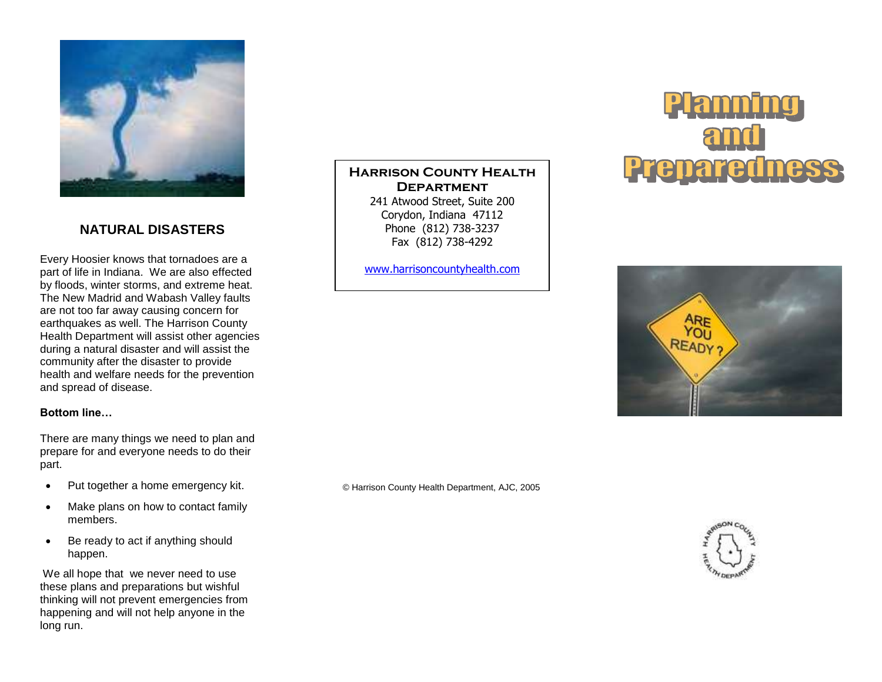

## **NATURAL DISASTERS**

Every Hoosier knows that tornadoes are a part of life in Indiana. We are also effected by floods, winter storms, and extreme heat. The New Madrid and Wabash Valley faults are not too far away causing concern for earthquakes as well. The Harrison County Health Department will assist other agencies during a natural disaster and will assist the community after the disaster to provide health and welfare needs for the prevention and spread of disease.

#### **Bottom line…**

There are many things we need to plan and prepare for and everyone needs to do their part.

- Put together a home emergency kit.
- Make plans on how to contact family members.
- Be ready to act if anything should happen.

We all hope that we never need to use these plans and preparations but wishful thinking will not prevent emergencies from happening and will not help anyone in the long run.

**Harrison County Health Department**

241 Atwood Street, Suite 200 Corydon, Indiana 47112 Phone (812) 738-3237 Fax (812) 738-4292

[www.harrisoncountyhealth.com](http://www.harrisoncountyhealth.com/)





© Harrison County Health Department, AJC, 2005